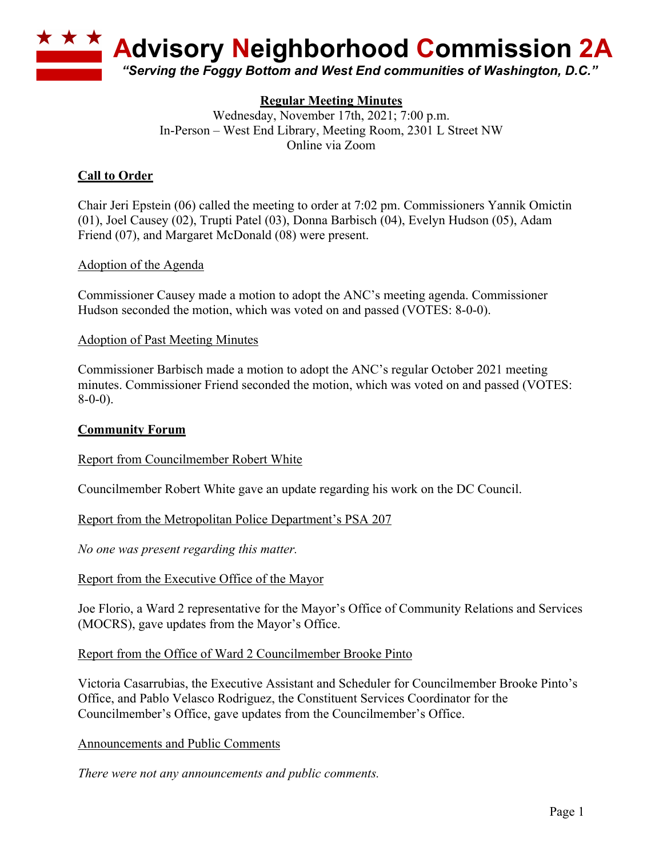

## **Regular Meeting Minutes**

Wednesday, November 17th, 2021; 7:00 p.m. In-Person – West End Library, Meeting Room, 2301 L Street NW Online via Zoom

## **Call to Order**

Chair Jeri Epstein (06) called the meeting to order at 7:02 pm. Commissioners Yannik Omictin (01), Joel Causey (02), Trupti Patel (03), Donna Barbisch (04), Evelyn Hudson (05), Adam Friend (07), and Margaret McDonald (08) were present.

### Adoption of the Agenda

Commissioner Causey made a motion to adopt the ANC's meeting agenda. Commissioner Hudson seconded the motion, which was voted on and passed (VOTES: 8-0-0).

### Adoption of Past Meeting Minutes

Commissioner Barbisch made a motion to adopt the ANC's regular October 2021 meeting minutes. Commissioner Friend seconded the motion, which was voted on and passed (VOTES: 8-0-0).

### **Community Forum**

### Report from Councilmember Robert White

Councilmember Robert White gave an update regarding his work on the DC Council.

### Report from the Metropolitan Police Department's PSA 207

*No one was present regarding this matter.*

### Report from the Executive Office of the Mayor

Joe Florio, a Ward 2 representative for the Mayor's Office of Community Relations and Services (MOCRS), gave updates from the Mayor's Office.

#### Report from the Office of Ward 2 Councilmember Brooke Pinto

Victoria Casarrubias, the Executive Assistant and Scheduler for Councilmember Brooke Pinto's Office, and Pablo Velasco Rodriguez, the Constituent Services Coordinator for the Councilmember's Office, gave updates from the Councilmember's Office.

### Announcements and Public Comments

*There were not any announcements and public comments.*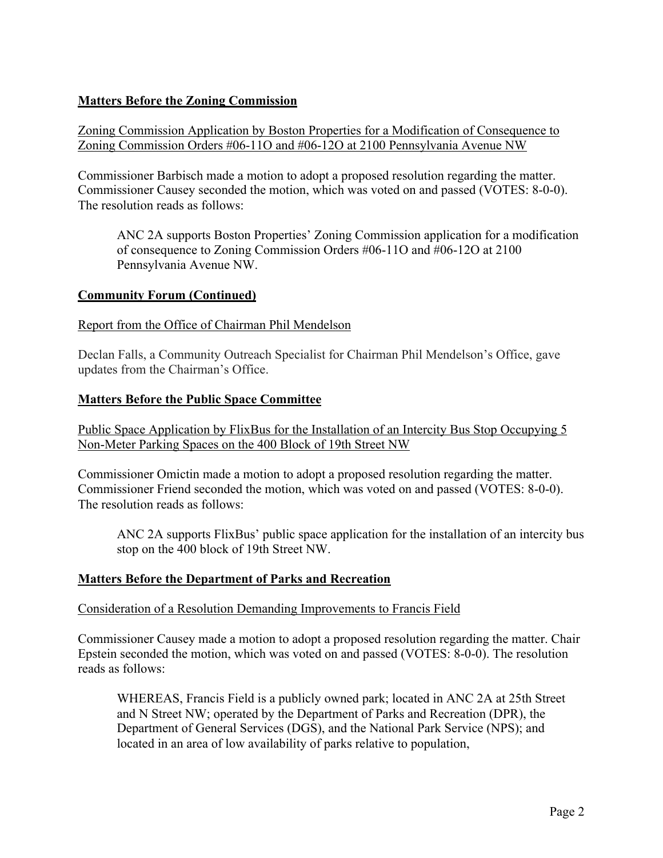# **Matters Before the Zoning Commission**

## Zoning Commission Application by Boston Properties for a Modification of Consequence to Zoning Commission Orders #06-11O and #06-12O at 2100 Pennsylvania Avenue NW

Commissioner Barbisch made a motion to adopt a proposed resolution regarding the matter. Commissioner Causey seconded the motion, which was voted on and passed (VOTES: 8-0-0). The resolution reads as follows:

ANC 2A supports Boston Properties' Zoning Commission application for a modification of consequence to Zoning Commission Orders #06-11O and #06-12O at 2100 Pennsylvania Avenue NW.

## **Community Forum (Continued)**

## Report from the Office of Chairman Phil Mendelson

Declan Falls, a Community Outreach Specialist for Chairman Phil Mendelson's Office, gave updates from the Chairman's Office.

### **Matters Before the Public Space Committee**

Public Space Application by FlixBus for the Installation of an Intercity Bus Stop Occupying 5 Non-Meter Parking Spaces on the 400 Block of 19th Street NW

Commissioner Omictin made a motion to adopt a proposed resolution regarding the matter. Commissioner Friend seconded the motion, which was voted on and passed (VOTES: 8-0-0). The resolution reads as follows:

ANC 2A supports FlixBus' public space application for the installation of an intercity bus stop on the 400 block of 19th Street NW.

### **Matters Before the Department of Parks and Recreation**

### Consideration of a Resolution Demanding Improvements to Francis Field

Commissioner Causey made a motion to adopt a proposed resolution regarding the matter. Chair Epstein seconded the motion, which was voted on and passed (VOTES: 8-0-0). The resolution reads as follows:

WHEREAS, Francis Field is a publicly owned park; located in ANC 2A at 25th Street and N Street NW; operated by the Department of Parks and Recreation (DPR), the Department of General Services (DGS), and the National Park Service (NPS); and located in an area of low availability of parks relative to population,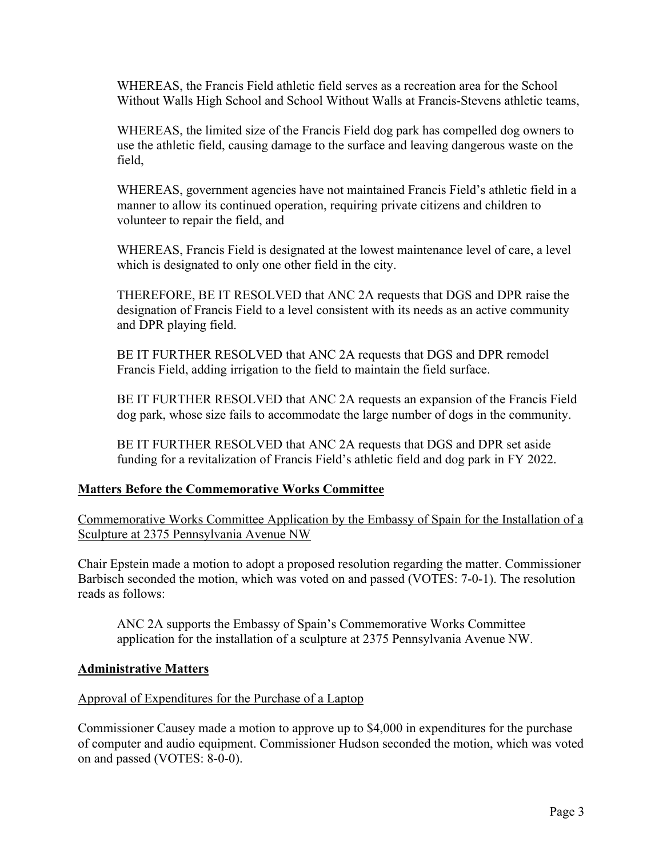WHEREAS, the Francis Field athletic field serves as a recreation area for the School Without Walls High School and School Without Walls at Francis-Stevens athletic teams,

WHEREAS, the limited size of the Francis Field dog park has compelled dog owners to use the athletic field, causing damage to the surface and leaving dangerous waste on the field,

WHEREAS, government agencies have not maintained Francis Field's athletic field in a manner to allow its continued operation, requiring private citizens and children to volunteer to repair the field, and

WHEREAS, Francis Field is designated at the lowest maintenance level of care, a level which is designated to only one other field in the city.

THEREFORE, BE IT RESOLVED that ANC 2A requests that DGS and DPR raise the designation of Francis Field to a level consistent with its needs as an active community and DPR playing field.

BE IT FURTHER RESOLVED that ANC 2A requests that DGS and DPR remodel Francis Field, adding irrigation to the field to maintain the field surface.

BE IT FURTHER RESOLVED that ANC 2A requests an expansion of the Francis Field dog park, whose size fails to accommodate the large number of dogs in the community.

BE IT FURTHER RESOLVED that ANC 2A requests that DGS and DPR set aside funding for a revitalization of Francis Field's athletic field and dog park in FY 2022.

### **Matters Before the Commemorative Works Committee**

Commemorative Works Committee Application by the Embassy of Spain for the Installation of a Sculpture at 2375 Pennsylvania Avenue NW

Chair Epstein made a motion to adopt a proposed resolution regarding the matter. Commissioner Barbisch seconded the motion, which was voted on and passed (VOTES: 7-0-1). The resolution reads as follows:

ANC 2A supports the Embassy of Spain's Commemorative Works Committee application for the installation of a sculpture at 2375 Pennsylvania Avenue NW.

### **Administrative Matters**

### Approval of Expenditures for the Purchase of a Laptop

Commissioner Causey made a motion to approve up to \$4,000 in expenditures for the purchase of computer and audio equipment. Commissioner Hudson seconded the motion, which was voted on and passed (VOTES: 8-0-0).